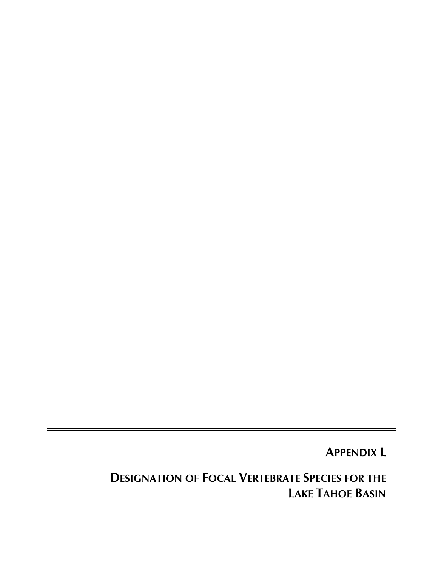**APPENDIX L** 

**DESIGNATION OF FOCAL VERTEBRATE SPECIES FOR THE LAKE TAHOE BASIN**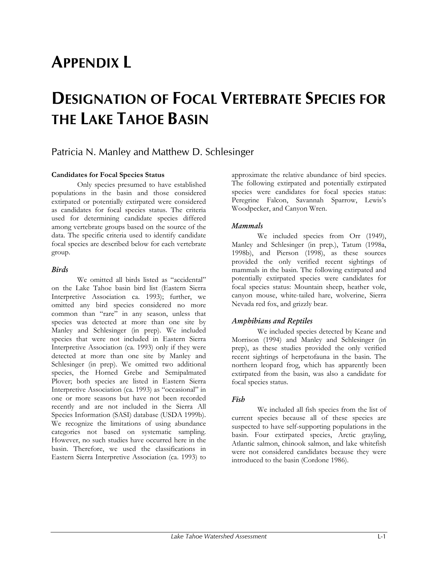# **APPENDIX L**

## **DESIGNATION OF FOCAL VERTEBRATE SPECIES FOR THE LAKE TAHOE BASIN**

### Patricia N. Manley and Matthew D. Schlesinger

#### **Candidates for Focal Species Status**

Only species presumed to have established populations in the basin and those considered extirpated or potentially extirpated were considered as candidates for focal species status. The criteria used for determining candidate species differed among vertebrate groups based on the source of the data. The specific criteria used to identify candidate focal species are described below for each vertebrate group.

#### *Birds*

We omitted all birds listed as "accidental" on the Lake Tahoe basin bird list (Eastern Sierra Interpretive Association ca. 1993); further, we omitted any bird species considered no more common than "rare" in any season, unless that species was detected at more than one site by Manley and Schlesinger (in prep). We included species that were not included in Eastern Sierra Interpretive Association (ca. 1993) only if they were detected at more than one site by Manley and Schlesinger (in prep). We omitted two additional species, the Horned Grebe and Semipalmated Plover; both species are listed in Eastern Sierra Interpretive Association (ca. 1993) as "occasional" in one or more seasons but have not been recorded recently and are not included in the Sierra All Species Information (SASI) database (USDA 1999b). We recognize the limitations of using abundance categories not based on systematic sampling. However, no such studies have occurred here in the basin. Therefore, we used the classifications in Eastern Sierra Interpretive Association (ca. 1993) to

approximate the relative abundance of bird species. The following extirpated and potentially extirpated species were candidates for focal species status: Peregrine Falcon, Savannah Sparrow, Lewis's Woodpecker, and Canyon Wren.

#### *Mammals*

We included species from Orr (1949), Manley and Schlesinger (in prep.), Tatum (1998a, 1998b), and Pierson (1998), as these sources provided the only verified recent sightings of mammals in the basin. The following extirpated and potentially extirpated species were candidates for focal species status: Mountain sheep, heather vole, canyon mouse, white-tailed hare, wolverine, Sierra Nevada red fox, and grizzly bear.

#### *Amphibians and Reptiles*

We included species detected by Keane and Morrison (1994) and Manley and Schlesinger (in prep), as these studies provided the only verified recent sightings of herpetofauna in the basin. The northern leopard frog, which has apparently been extirpated from the basin, was also a candidate for focal species status.

#### *Fish*

We included all fish species from the list of current species because all of these species are suspected to have self-supporting populations in the basin. Four extirpated species, Arctic grayling, Atlantic salmon, chinook salmon, and lake whitefish were not considered candidates because they were introduced to the basin (Cordone 1986).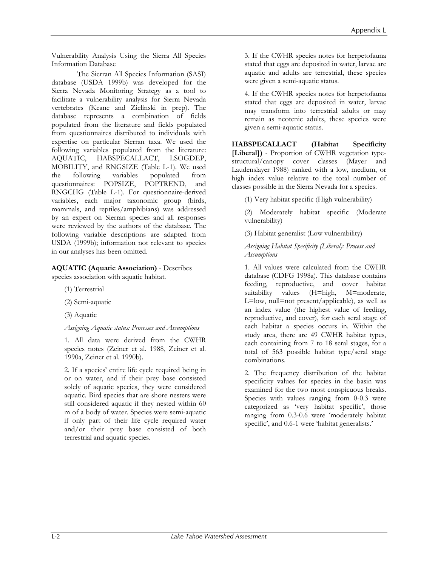Vulnerability Analysis Using the Sierra All Species Information Database

The Sierran All Species Information (SASI) database (USDA 1999b) was developed for the Sierra Nevada Monitoring Strategy as a tool to facilitate a vulnerability analysis for Sierra Nevada vertebrates (Keane and Zielinski in prep). The database represents a combination of fields populated from the literature and fields populated from questionnaires distributed to individuals with expertise on particular Sierran taxa. We used the following variables populated from the literature: AQUATIC, HABSPECALLACT, LSOGDEP, MOBILITY, and RNGSIZE (Table L-1). We used the following variables populated from questionnaires: POPSIZE, POPTREND, and RNGCHG (Table L-1). For questionnaire-derived variables, each major taxonomic group (birds, mammals, and reptiles/amphibians) was addressed by an expert on Sierran species and all responses were reviewed by the authors of the database. The following variable descriptions are adapted from USDA (1999b); information not relevant to species in our analyses has been omitted.

**AQUATIC (Aquatic Association)** - Describes species association with aquatic habitat.

- (1) Terrestrial
- (2) Semi-aquatic
- (3) Aquatic

*Assigning Aquatic status: Processes and Assumptions* 

1. All data were derived from the CWHR species notes (Zeiner et al. 1988, Zeiner et al. 1990a, Zeiner et al. 1990b).

2. If a species' entire life cycle required being in or on water, and if their prey base consisted solely of aquatic species, they were considered aquatic. Bird species that are shore nesters were still considered aquatic if they nested within 60 m of a body of water. Species were semi-aquatic if only part of their life cycle required water and/or their prey base consisted of both terrestrial and aquatic species.

3. If the CWHR species notes for herpetofauna stated that eggs are deposited in water, larvae are aquatic and adults are terrestrial, these species were given a semi-aquatic status.

4. If the CWHR species notes for herpetofauna stated that eggs are deposited in water, larvae may transform into terrestrial adults or may remain as neotenic adults, these species were given a semi-aquatic status.

**HABSPECALLACT (Habitat Specificity [Liberal])** - Proportion of CWHR vegetation typestructural/canopy cover classes (Mayer and Laudenslayer 1988) ranked with a low, medium, or high index value relative to the total number of classes possible in the Sierra Nevada for a species.

(1) Very habitat specific (High vulnerability)

(2) Moderately habitat specific (Moderate vulnerability)

(3) Habitat generalist (Low vulnerability)

*Assigning Habitat Specificity (Liberal): Process and Assumptions*

1. All values were calculated from the CWHR database (CDFG 1998a). This database contains feeding, reproductive, and cover habitat suitability values (H=high, M=moderate, L=low, null=not present/applicable), as well as an index value (the highest value of feeding, reproductive, and cover), for each seral stage of each habitat a species occurs in. Within the study area, there are 49 CWHR habitat types, each containing from 7 to 18 seral stages, for a total of 563 possible habitat type/seral stage combinations.

2. The frequency distribution of the habitat specificity values for species in the basin was examined for the two most conspicuous breaks. Species with values ranging from 0-0.3 were categorized as 'very habitat specific', those ranging from 0.3-0.6 were 'moderately habitat specific', and 0.6-1 were 'habitat generalists.'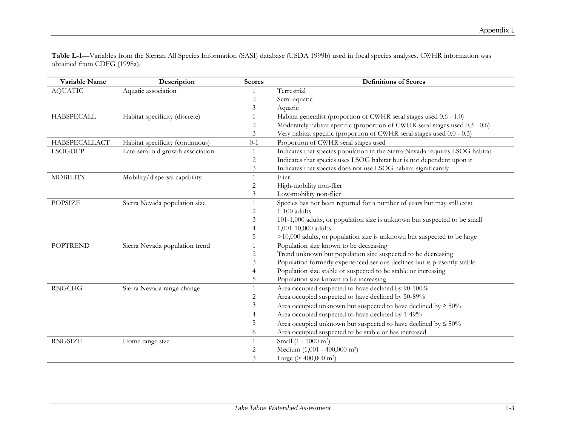**Table L-1**—Variables from the Sierran All Species Information (SASI) database (USDA 1999b) used in focal species analyses. CWHR information was obtained from CDFG (1998a).

| Variable Name     | Description                       | <b>Scores</b> | <b>Definitions of Scores</b>                                                 |
|-------------------|-----------------------------------|---------------|------------------------------------------------------------------------------|
| <b>AQUATIC</b>    | Aquatic association               |               | Terrestrial                                                                  |
|                   |                                   | 2             | Semi-aquatic                                                                 |
|                   |                                   | 3             | Aquatic                                                                      |
| <b>HABSPECALL</b> | Habitat specificity (discrete)    | 1             | Habitat generalist (proportion of CWHR seral stages used 0.6 - 1.0)          |
|                   |                                   | 2             | Moderately habitat specific (proportion of CWHR seral stages used 0.3 - 0.6) |
|                   |                                   | 3             | Very habitat specific (proportion of CWHR seral stages used 0.0 - 0.3)       |
| HABSPECALLACT     | Habitat specificity (continuous)  | $0-1$         | Proportion of CWHR seral stages used                                         |
| <b>LSOGDEP</b>    | Late-seral old growth association | 1             | Indicates that species population in the Sierra Nevada requires LSOG habitat |
|                   |                                   | 2             | Indicates that species uses LSOG habitat but is not dependent upon it        |
|                   |                                   | 3             | Indicates that species does not use LSOG habitat significantly               |
| <b>MOBILITY</b>   | Mobility/dispersal capability     | 1             | Flier                                                                        |
|                   |                                   | 2             | High-mobility non-flier                                                      |
|                   |                                   | 3             | Low-mobility non-flier                                                       |
| <b>POPSIZE</b>    | Sierra Nevada population size     |               | Species has not been reported for a number of years but may still exist      |
|                   |                                   | 2             | $1-100$ adults                                                               |
|                   |                                   | 3             | 101-1,000 adults, or population size is unknown but suspected to be small    |
|                   |                                   | 4             | 1,001-10,000 adults                                                          |
|                   |                                   | 5             | >10,000 adults, or population size is unknown but suspected to be large      |
| <b>POPTREND</b>   | Sierra Nevada population trend    | 1             | Population size known to be decreasing                                       |
|                   |                                   | 2             | Trend unknown but population size suspected to be decreasing                 |
|                   |                                   | 3             | Population formerly experienced serious declines but is presently stable     |
|                   |                                   | 4             | Population size stable or suspected to be stable or increasing               |
|                   |                                   | 5             | Population size known to be increasing                                       |
| <b>RNGCHG</b>     | Sierra Nevada range change        | 1             | Area occupied suspected to have declined by 90-100%                          |
|                   |                                   | 2             | Area occupied suspected to have declined by 50-89%                           |
|                   |                                   | 3             | Area occupied unknown but suspected to have declined by $\geq 50\%$          |
|                   |                                   | 4             | Area occupied suspected to have declined by 1-49%                            |
|                   |                                   | 5             | Area occupied unknown but suspected to have declined by $\leq 50\%$          |
|                   |                                   | 6             | Area occupied suspected to be stable or has increased                        |
| <b>RNGSIZE</b>    | Home range size                   | 1             | Small (1 - 1000 m <sup>2</sup> )                                             |
|                   |                                   | 2             | Medium (1,001 - 400,000 m <sup>2</sup> )                                     |
|                   |                                   | 3             | Large ( $> 400,000$ m <sup>2</sup> )                                         |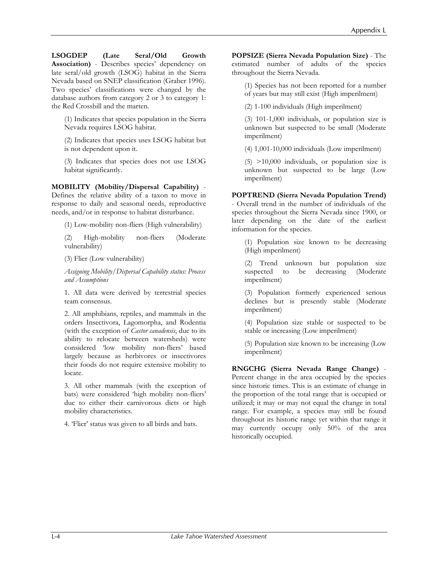**LSOGDEP (Late Seral/Old Growth Association)** - Describes species' dependency on late seral/old growth (LSOG) habitat in the Sierra Nevada based on SNEP classification (Graber 1996). Two species' classifications were changed by the database authors from category 2 or 3 to category 1: the Red Crossbill and the marten.

(1) Indicates that species population in the Sierra Nevada requires LSOG habitat.

(2) Indicates that species uses LSOG habitat but is not dependent upon it.

(3) Indicates that species does not use LSOG habitat significantly.

**MOBILITY (Mobility/Dispersal Capability)** - Defines the relative ability of a taxon to move in response to daily and seasonal needs, reproductive needs, and/or in response to habitat disturbance.

(1) Low-mobility non-fliers (High vulnerability)

(2) High-mobility non-fliers (Moderate vulnerability)

(3) Flier (Low vulnerability)

*Assigning Mobility/Dispersal Capability status: Process and Assumptions* 

1. All data were derived by terrestrial species team consensus.

2. All amphibians, reptiles, and mammals in the orders Insectivora, Lagomorpha, and Rodentia (with the exception of *Castor canadensis*, due to its ability to relocate between watersheds) were considered 'low mobility non-fliers' based largely because as herbivores or insectivores their foods do not require extensive mobility to locate.

3. All other mammals (with the exception of bats) were considered 'high mobility non-fliers' due to either their carnivorous diets or high mobility characteristics.

4. 'Flier' status was given to all birds and bats.

**POPSIZE (Sierra Nevada Population Size)** - The estimated number of adults of the species throughout the Sierra Nevada.

(1) Species has not been reported for a number of years but may still exist (High imperilment)

(2) 1-100 individuals (High imperilment)

(3) 101-1,000 individuals, or population size is unknown but suspected to be small (Moderate imperilment)

(4) 1,001-10,000 individuals (Low imperilment)

 $(5)$  >10,000 individuals, or population size is unknown but suspected to be large (Low imperilment)

### **POPTREND (Sierra Nevada Population Trend)**

- Overall trend in the number of individuals of the species throughout the Sierra Nevada since 1900, or later depending on the date of the earliest information for the species.

(1) Population size known to be decreasing (High imperilment)

(2) Trend unknown but population size suspected to be decreasing (Moderate imperilment)

(3) Population formerly experienced serious declines but is presently stable (Moderate imperilment)

(4) Population size stable or suspected to be stable or increasing (Low imperilment)

(5) Population size known to be increasing (Low imperilment)

**RNGCHG (Sierra Nevada Range Change)** - Percent change in the area occupied by the species since historic times. This is an estimate of change in the proportion of the total range that is occupied or utilized; it may or may not equal the change in total range. For example, a species may still be found throughout its historic range yet within that range it may currently occupy only 50% of the area historically occupied.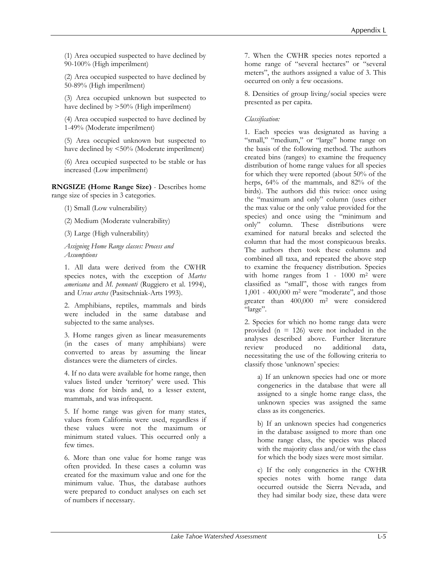(1) Area occupied suspected to have declined by 90-100% (High imperilment)

(2) Area occupied suspected to have declined by 50-89% (High imperilment)

(3) Area occupied unknown but suspected to have declined by  $>50\%$  (High imperilment)

(4) Area occupied suspected to have declined by 1-49% (Moderate imperilment)

(5) Area occupied unknown but suspected to have declined by <50% (Moderate imperilment)

(6) Area occupied suspected to be stable or has increased (Low imperilment)

**RNGSIZE (Home Range Size)** - Describes home range size of species in 3 categories.

(1) Small (Low vulnerability)

(2) Medium (Moderate vulnerability)

(3) Large (High vulnerability)

*Assigning Home Range classes: Process and Assumptions* 

1. All data were derived from the CWHR species notes, with the exception of *Martes americana* and *M. pennanti* (Ruggiero et al. 1994), and *Ursus arctos* (Pasitschniak-Arts 1993).

2. Amphibians, reptiles, mammals and birds were included in the same database and subjected to the same analyses.

3. Home ranges given as linear measurements (in the cases of many amphibians) were converted to areas by assuming the linear distances were the diameters of circles.

4. If no data were available for home range, then values listed under 'territory' were used. This was done for birds and, to a lesser extent, mammals, and was infrequent.

5. If home range was given for many states, values from California were used, regardless if these values were not the maximum or minimum stated values. This occurred only a few times.

6. More than one value for home range was often provided. In these cases a column was created for the maximum value and one for the minimum value. Thus, the database authors were prepared to conduct analyses on each set of numbers if necessary.

7. When the CWHR species notes reported a home range of "several hectares" or "several meters", the authors assigned a value of 3. This occurred on only a few occasions.

8. Densities of group living/social species were presented as per capita.

#### *Classification:*

1. Each species was designated as having a "small," "medium," or "large" home range on the basis of the following method. The authors created bins (ranges) to examine the frequency distribution of home range values for all species for which they were reported (about 50% of the herps, 64% of the mammals, and 82% of the birds). The authors did this twice: once using the "maximum and only" column (uses either the max value or the only value provided for the species) and once using the "minimum and only" column. These distributions were examined for natural breaks and selected the column that had the most conspicuous breaks. The authors then took these columns and combined all taxa, and repeated the above step to examine the frequency distribution. Species with home ranges from 1 - 1000 m<sup>2</sup> were classified as "small", those with ranges from 1,001 - 400,000 m2 were "moderate", and those greater than 400,000 m2 were considered "large".

2. Species for which no home range data were provided ( $n = 126$ ) were not included in the analyses described above. Further literature review produced no additional data, necessitating the use of the following criteria to classify those 'unknown' species:

a) If an unknown species had one or more congenerics in the database that were all assigned to a single home range class, the unknown species was assigned the same class as its congenerics.

b) If an unknown species had congenerics in the database assigned to more than one home range class, the species was placed with the majority class and/or with the class for which the body sizes were most similar.

c) If the only congenerics in the CWHR species notes with home range data occurred outside the Sierra Nevada, and they had similar body size, these data were